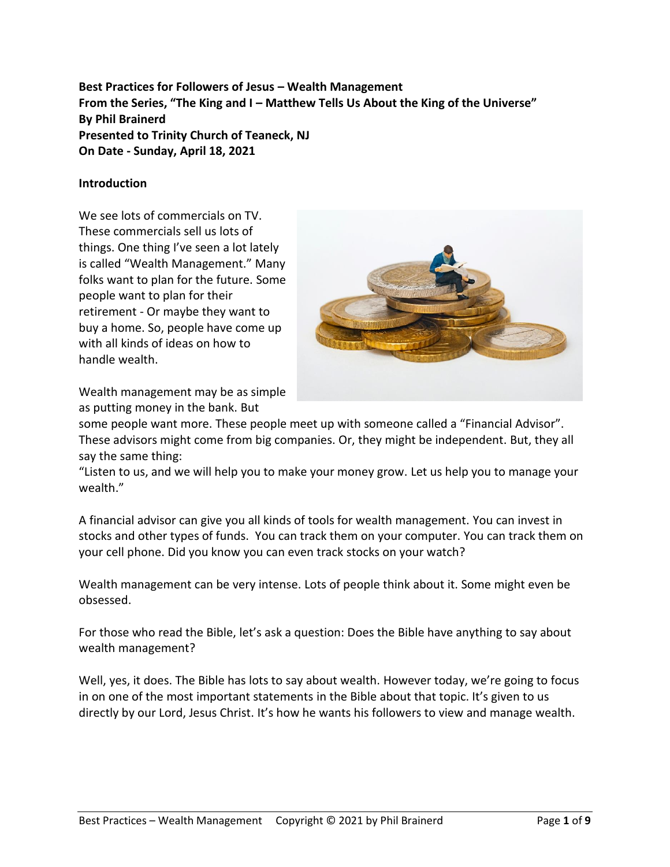**Best Practices for Followers of Jesus – Wealth Management From the Series, "The King and I – Matthew Tells Us About the King of the Universe" By Phil Brainerd Presented to Trinity Church of Teaneck, NJ On Date - Sunday, April 18, 2021**

## **Introduction**

We see lots of commercials on TV. These commercials sell us lots of things. One thing I've seen a lot lately is called "Wealth Management." Many folks want to plan for the future. Some people want to plan for their retirement - Or maybe they want to buy a home. So, people have come up with all kinds of ideas on how to handle wealth.





some people want more. These people meet up with someone called a "Financial Advisor". These advisors might come from big companies. Or, they might be independent. But, they all say the same thing:

"Listen to us, and we will help you to make your money grow. Let us help you to manage your wealth."

A financial advisor can give you all kinds of tools for wealth management. You can invest in stocks and other types of funds. You can track them on your computer. You can track them on your cell phone. Did you know you can even track stocks on your watch?

Wealth management can be very intense. Lots of people think about it. Some might even be obsessed.

For those who read the Bible, let's ask a question: Does the Bible have anything to say about wealth management?

Well, yes, it does. The Bible has lots to say about wealth. However today, we're going to focus in on one of the most important statements in the Bible about that topic. It's given to us directly by our Lord, Jesus Christ. It's how he wants his followers to view and manage wealth.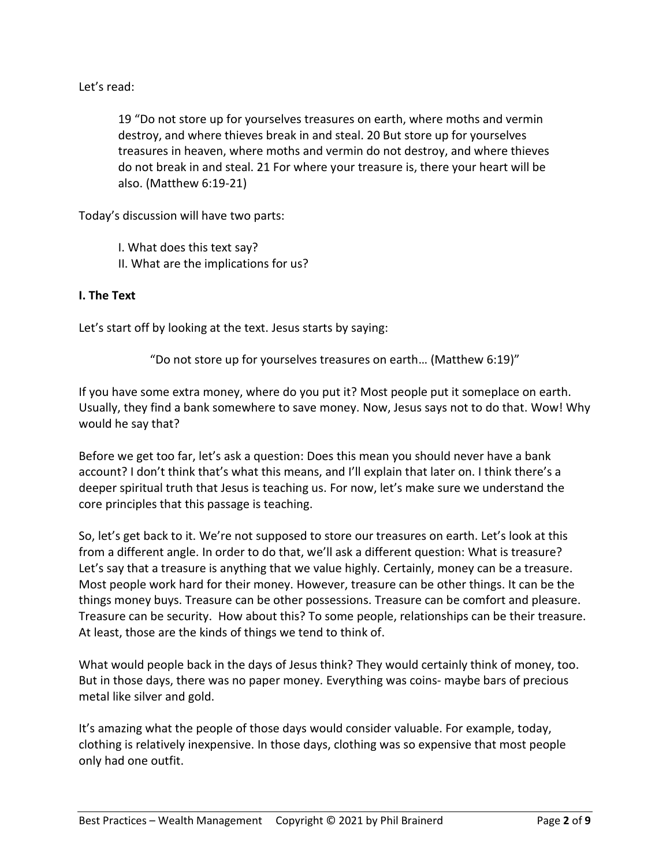Let's read:

19 "Do not store up for yourselves treasures on earth, where moths and vermin destroy, and where thieves break in and steal. 20 But store up for yourselves treasures in heaven, where moths and vermin do not destroy, and where thieves do not break in and steal. 21 For where your treasure is, there your heart will be also. (Matthew 6:19-21)

Today's discussion will have two parts:

I. What does this text say? II. What are the implications for us?

# **I. The Text**

Let's start off by looking at the text. Jesus starts by saying:

"Do not store up for yourselves treasures on earth… (Matthew 6:19)"

If you have some extra money, where do you put it? Most people put it someplace on earth. Usually, they find a bank somewhere to save money. Now, Jesus says not to do that. Wow! Why would he say that?

Before we get too far, let's ask a question: Does this mean you should never have a bank account? I don't think that's what this means, and I'll explain that later on. I think there's a deeper spiritual truth that Jesus is teaching us. For now, let's make sure we understand the core principles that this passage is teaching.

So, let's get back to it. We're not supposed to store our treasures on earth. Let's look at this from a different angle. In order to do that, we'll ask a different question: What is treasure? Let's say that a treasure is anything that we value highly. Certainly, money can be a treasure. Most people work hard for their money. However, treasure can be other things. It can be the things money buys. Treasure can be other possessions. Treasure can be comfort and pleasure. Treasure can be security. How about this? To some people, relationships can be their treasure. At least, those are the kinds of things we tend to think of.

What would people back in the days of Jesus think? They would certainly think of money, too. But in those days, there was no paper money. Everything was coins- maybe bars of precious metal like silver and gold.

It's amazing what the people of those days would consider valuable. For example, today, clothing is relatively inexpensive. In those days, clothing was so expensive that most people only had one outfit.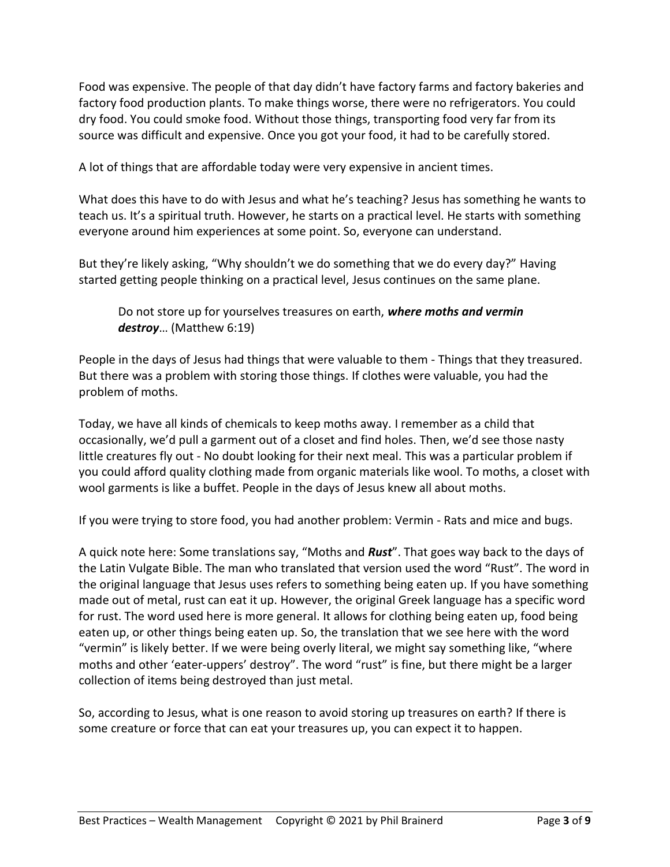Food was expensive. The people of that day didn't have factory farms and factory bakeries and factory food production plants. To make things worse, there were no refrigerators. You could dry food. You could smoke food. Without those things, transporting food very far from its source was difficult and expensive. Once you got your food, it had to be carefully stored.

A lot of things that are affordable today were very expensive in ancient times.

What does this have to do with Jesus and what he's teaching? Jesus has something he wants to teach us. It's a spiritual truth. However, he starts on a practical level. He starts with something everyone around him experiences at some point. So, everyone can understand.

But they're likely asking, "Why shouldn't we do something that we do every day?" Having started getting people thinking on a practical level, Jesus continues on the same plane.

Do not store up for yourselves treasures on earth, *where moths and vermin destroy*… (Matthew 6:19)

People in the days of Jesus had things that were valuable to them - Things that they treasured. But there was a problem with storing those things. If clothes were valuable, you had the problem of moths.

Today, we have all kinds of chemicals to keep moths away. I remember as a child that occasionally, we'd pull a garment out of a closet and find holes. Then, we'd see those nasty little creatures fly out - No doubt looking for their next meal. This was a particular problem if you could afford quality clothing made from organic materials like wool. To moths, a closet with wool garments is like a buffet. People in the days of Jesus knew all about moths.

If you were trying to store food, you had another problem: Vermin - Rats and mice and bugs.

A quick note here: Some translations say, "Moths and *Rust*". That goes way back to the days of the Latin Vulgate Bible. The man who translated that version used the word "Rust". The word in the original language that Jesus uses refers to something being eaten up. If you have something made out of metal, rust can eat it up. However, the original Greek language has a specific word for rust. The word used here is more general. It allows for clothing being eaten up, food being eaten up, or other things being eaten up. So, the translation that we see here with the word "vermin" is likely better. If we were being overly literal, we might say something like, "where moths and other 'eater-uppers' destroy". The word "rust" is fine, but there might be a larger collection of items being destroyed than just metal.

So, according to Jesus, what is one reason to avoid storing up treasures on earth? If there is some creature or force that can eat your treasures up, you can expect it to happen.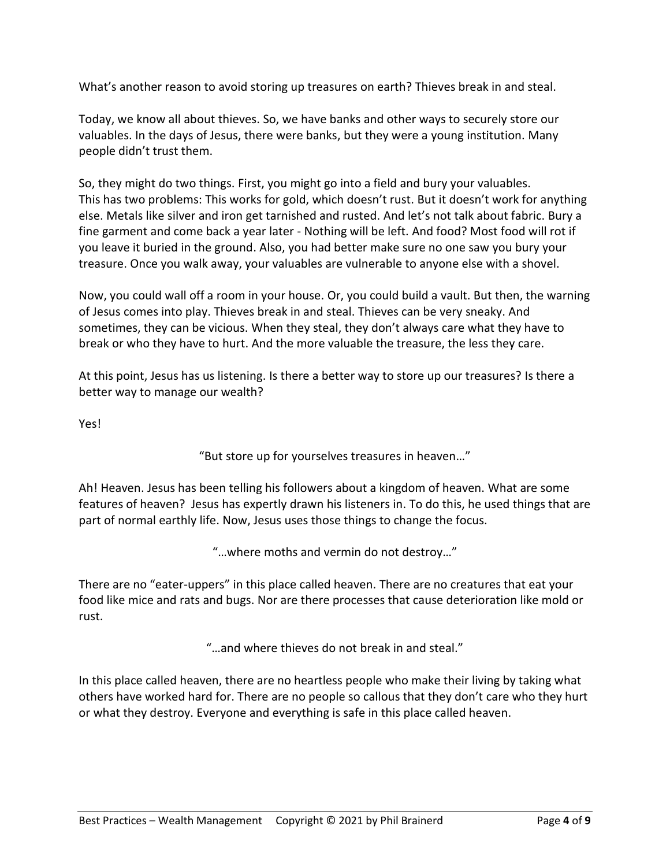What's another reason to avoid storing up treasures on earth? Thieves break in and steal.

Today, we know all about thieves. So, we have banks and other ways to securely store our valuables. In the days of Jesus, there were banks, but they were a young institution. Many people didn't trust them.

So, they might do two things. First, you might go into a field and bury your valuables. This has two problems: This works for gold, which doesn't rust. But it doesn't work for anything else. Metals like silver and iron get tarnished and rusted. And let's not talk about fabric. Bury a fine garment and come back a year later - Nothing will be left. And food? Most food will rot if you leave it buried in the ground. Also, you had better make sure no one saw you bury your treasure. Once you walk away, your valuables are vulnerable to anyone else with a shovel.

Now, you could wall off a room in your house. Or, you could build a vault. But then, the warning of Jesus comes into play. Thieves break in and steal. Thieves can be very sneaky. And sometimes, they can be vicious. When they steal, they don't always care what they have to break or who they have to hurt. And the more valuable the treasure, the less they care.

At this point, Jesus has us listening. Is there a better way to store up our treasures? Is there a better way to manage our wealth?

Yes!

"But store up for yourselves treasures in heaven…"

Ah! Heaven. Jesus has been telling his followers about a kingdom of heaven. What are some features of heaven? Jesus has expertly drawn his listeners in. To do this, he used things that are part of normal earthly life. Now, Jesus uses those things to change the focus.

"…where moths and vermin do not destroy…"

There are no "eater-uppers" in this place called heaven. There are no creatures that eat your food like mice and rats and bugs. Nor are there processes that cause deterioration like mold or rust.

"…and where thieves do not break in and steal."

In this place called heaven, there are no heartless people who make their living by taking what others have worked hard for. There are no people so callous that they don't care who they hurt or what they destroy. Everyone and everything is safe in this place called heaven.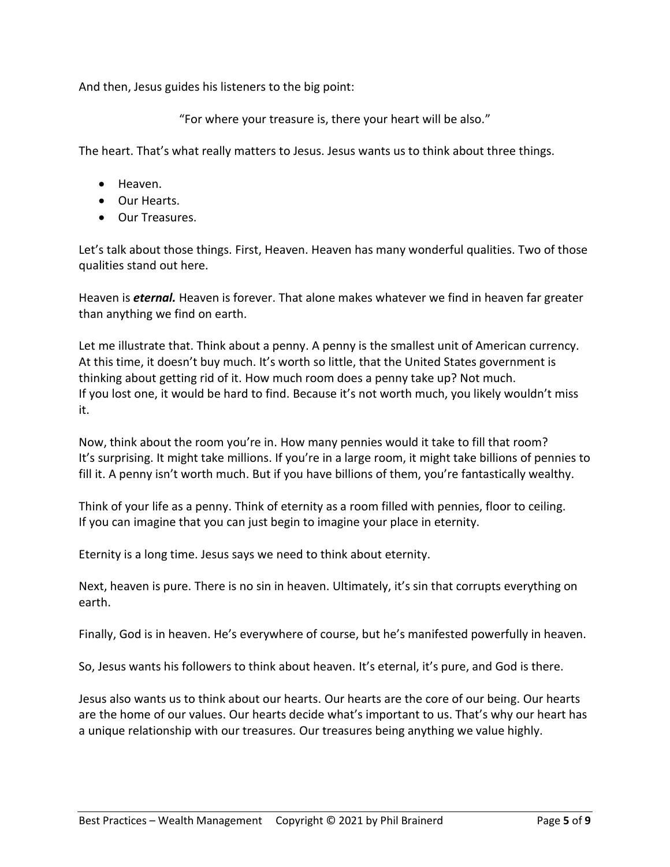And then, Jesus guides his listeners to the big point:

"For where your treasure is, there your heart will be also."

The heart. That's what really matters to Jesus. Jesus wants us to think about three things.

- Heaven.
- Our Hearts.
- Our Treasures.

Let's talk about those things. First, Heaven. Heaven has many wonderful qualities. Two of those qualities stand out here.

Heaven is *eternal.* Heaven is forever. That alone makes whatever we find in heaven far greater than anything we find on earth.

Let me illustrate that. Think about a penny. A penny is the smallest unit of American currency. At this time, it doesn't buy much. It's worth so little, that the United States government is thinking about getting rid of it. How much room does a penny take up? Not much. If you lost one, it would be hard to find. Because it's not worth much, you likely wouldn't miss it.

Now, think about the room you're in. How many pennies would it take to fill that room? It's surprising. It might take millions. If you're in a large room, it might take billions of pennies to fill it. A penny isn't worth much. But if you have billions of them, you're fantastically wealthy.

Think of your life as a penny. Think of eternity as a room filled with pennies, floor to ceiling. If you can imagine that you can just begin to imagine your place in eternity.

Eternity is a long time. Jesus says we need to think about eternity.

Next, heaven is pure. There is no sin in heaven. Ultimately, it's sin that corrupts everything on earth.

Finally, God is in heaven. He's everywhere of course, but he's manifested powerfully in heaven.

So, Jesus wants his followers to think about heaven. It's eternal, it's pure, and God is there.

Jesus also wants us to think about our hearts. Our hearts are the core of our being. Our hearts are the home of our values. Our hearts decide what's important to us. That's why our heart has a unique relationship with our treasures. Our treasures being anything we value highly.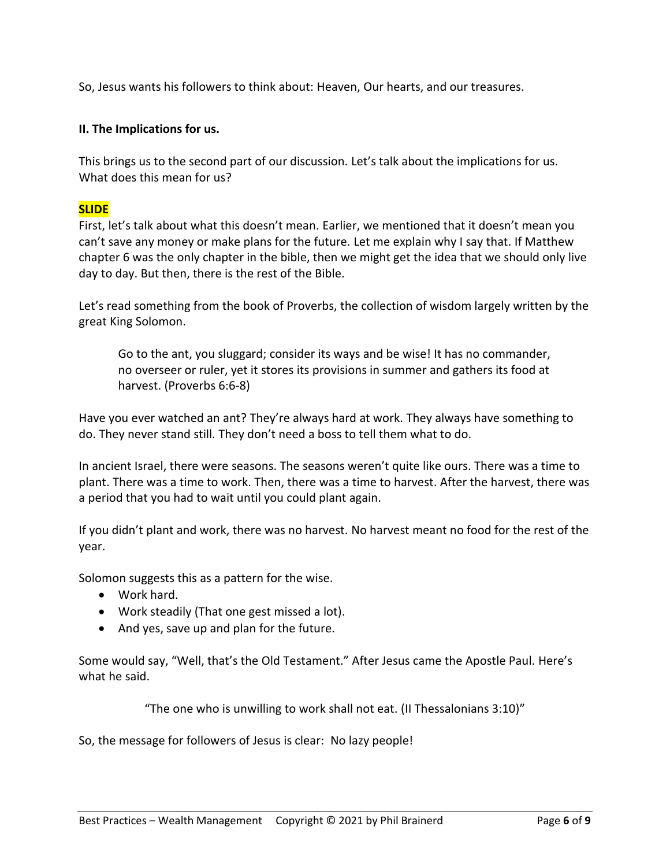So, Jesus wants his followers to think about: Heaven, Our hearts, and our treasures.

## **II. The Implications for us.**

This brings us to the second part of our discussion. Let's talk about the implications for us. What does this mean for us?

## **SLIDE**

First, let's talk about what this doesn't mean. Earlier, we mentioned that it doesn't mean you can't save any money or make plans for the future. Let me explain why I say that. If Matthew chapter 6 was the only chapter in the bible, then we might get the idea that we should only live day to day. But then, there is the rest of the Bible.

Let's read something from the book of Proverbs, the collection of wisdom largely written by the great King Solomon.

Go to the ant, you sluggard; consider its ways and be wise! It has no commander, no overseer or ruler, yet it stores its provisions in summer and gathers its food at harvest. (Proverbs 6:6-8)

Have you ever watched an ant? They're always hard at work. They always have something to do. They never stand still. They don't need a boss to tell them what to do.

In ancient Israel, there were seasons. The seasons weren't quite like ours. There was a time to plant. There was a time to work. Then, there was a time to harvest. After the harvest, there was a period that you had to wait until you could plant again.

If you didn't plant and work, there was no harvest. No harvest meant no food for the rest of the year.

Solomon suggests this as a pattern for the wise.

- Work hard.
- Work steadily (That one gest missed a lot).
- And yes, save up and plan for the future.

Some would say, "Well, that's the Old Testament." After Jesus came the Apostle Paul. Here's what he said.

"The one who is unwilling to work shall not eat. (II Thessalonians 3:10)"

So, the message for followers of Jesus is clear: No lazy people!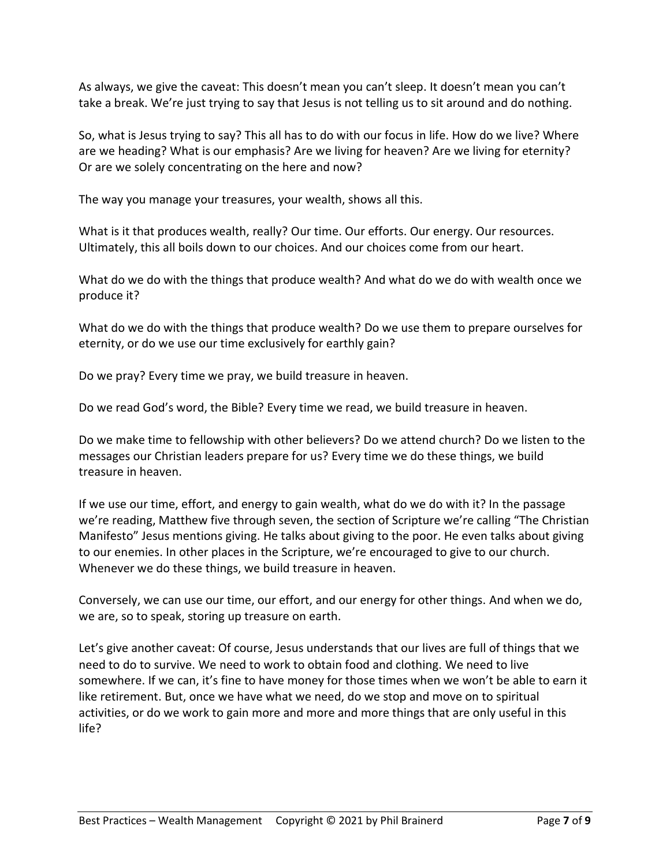As always, we give the caveat: This doesn't mean you can't sleep. It doesn't mean you can't take a break. We're just trying to say that Jesus is not telling us to sit around and do nothing.

So, what is Jesus trying to say? This all has to do with our focus in life. How do we live? Where are we heading? What is our emphasis? Are we living for heaven? Are we living for eternity? Or are we solely concentrating on the here and now?

The way you manage your treasures, your wealth, shows all this.

What is it that produces wealth, really? Our time. Our efforts. Our energy. Our resources. Ultimately, this all boils down to our choices. And our choices come from our heart.

What do we do with the things that produce wealth? And what do we do with wealth once we produce it?

What do we do with the things that produce wealth? Do we use them to prepare ourselves for eternity, or do we use our time exclusively for earthly gain?

Do we pray? Every time we pray, we build treasure in heaven.

Do we read God's word, the Bible? Every time we read, we build treasure in heaven.

Do we make time to fellowship with other believers? Do we attend church? Do we listen to the messages our Christian leaders prepare for us? Every time we do these things, we build treasure in heaven.

If we use our time, effort, and energy to gain wealth, what do we do with it? In the passage we're reading, Matthew five through seven, the section of Scripture we're calling "The Christian Manifesto" Jesus mentions giving. He talks about giving to the poor. He even talks about giving to our enemies. In other places in the Scripture, we're encouraged to give to our church. Whenever we do these things, we build treasure in heaven.

Conversely, we can use our time, our effort, and our energy for other things. And when we do, we are, so to speak, storing up treasure on earth.

Let's give another caveat: Of course, Jesus understands that our lives are full of things that we need to do to survive. We need to work to obtain food and clothing. We need to live somewhere. If we can, it's fine to have money for those times when we won't be able to earn it like retirement. But, once we have what we need, do we stop and move on to spiritual activities, or do we work to gain more and more and more things that are only useful in this life?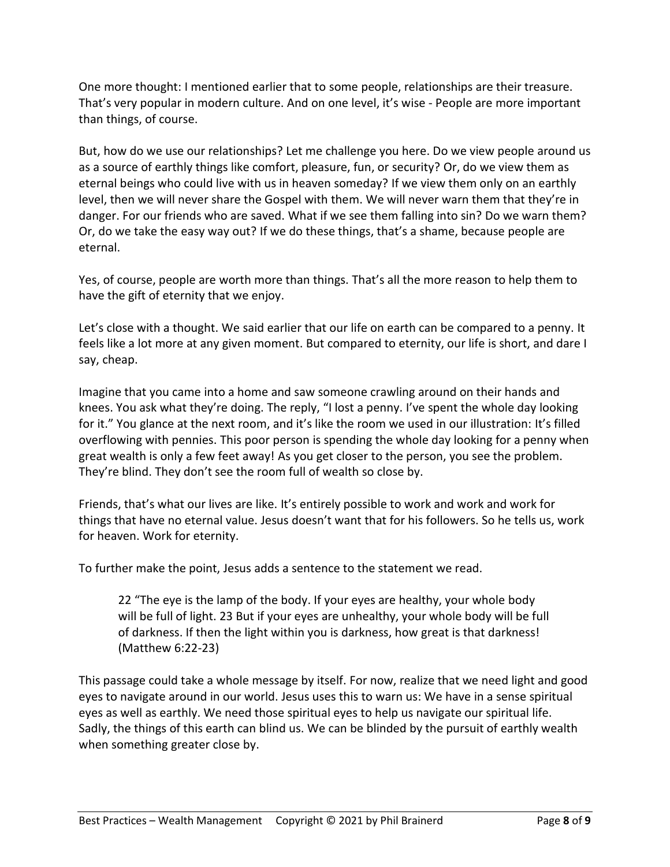One more thought: I mentioned earlier that to some people, relationships are their treasure. That's very popular in modern culture. And on one level, it's wise - People are more important than things, of course.

But, how do we use our relationships? Let me challenge you here. Do we view people around us as a source of earthly things like comfort, pleasure, fun, or security? Or, do we view them as eternal beings who could live with us in heaven someday? If we view them only on an earthly level, then we will never share the Gospel with them. We will never warn them that they're in danger. For our friends who are saved. What if we see them falling into sin? Do we warn them? Or, do we take the easy way out? If we do these things, that's a shame, because people are eternal.

Yes, of course, people are worth more than things. That's all the more reason to help them to have the gift of eternity that we enjoy.

Let's close with a thought. We said earlier that our life on earth can be compared to a penny. It feels like a lot more at any given moment. But compared to eternity, our life is short, and dare I say, cheap.

Imagine that you came into a home and saw someone crawling around on their hands and knees. You ask what they're doing. The reply, "I lost a penny. I've spent the whole day looking for it." You glance at the next room, and it's like the room we used in our illustration: It's filled overflowing with pennies. This poor person is spending the whole day looking for a penny when great wealth is only a few feet away! As you get closer to the person, you see the problem. They're blind. They don't see the room full of wealth so close by.

Friends, that's what our lives are like. It's entirely possible to work and work and work for things that have no eternal value. Jesus doesn't want that for his followers. So he tells us, work for heaven. Work for eternity.

To further make the point, Jesus adds a sentence to the statement we read.

22 "The eye is the lamp of the body. If your eyes are healthy, your whole body will be full of light. 23 But if your eyes are unhealthy, your whole body will be full of darkness. If then the light within you is darkness, how great is that darkness! (Matthew 6:22-23)

This passage could take a whole message by itself. For now, realize that we need light and good eyes to navigate around in our world. Jesus uses this to warn us: We have in a sense spiritual eyes as well as earthly. We need those spiritual eyes to help us navigate our spiritual life. Sadly, the things of this earth can blind us. We can be blinded by the pursuit of earthly wealth when something greater close by.